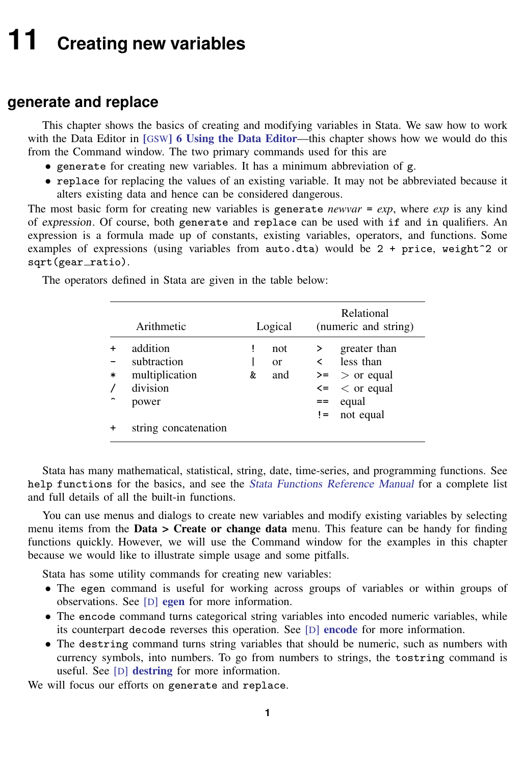# <span id="page-0-0"></span>**11 Creating new variables**

## **generate and replace**

This chapter shows the basics of creating and modifying variables in Stata. We saw how to work with the Data Editor in [GSW[\] 6 Using the Data Editor](https://www.stata.com/manuals/gsw6.pdf#gsw6UsingtheDataEditor)—this chapter shows how we would do this from the Command window. The two primary commands used for this are

- generate for creating new variables. It has a minimum abbreviation of g.
- replace for replacing the values of an existing variable. It may not be abbreviated because it alters existing data and hence can be considered dangerous.

The most basic form for creating new variables is generate *newvar* = *exp*, where *exp* is any kind of expression. Of course, both generate and replace can be used with if and in qualifiers. An expression is a formula made up of constants, existing variables, operators, and functions. Some examples of expressions (using variables from auto.dta) would be  $2 + price$ , weight<sup> $\gamma$ </sup> or sqrt(gear\_ratio).

|        | Arithmetic           |   | Logical |      | Relational<br>(numeric and string) |  |  |
|--------|----------------------|---|---------|------|------------------------------------|--|--|
|        | addition             | ï | not     |      | greater than                       |  |  |
|        | subtraction          |   | or      | ≺    | less than                          |  |  |
| $\ast$ | multiplication       | & | and     |      | $\geq$ > or equal                  |  |  |
|        | division             |   |         |      | $\leq$ $\leq$ or equal             |  |  |
|        | power                |   |         | $==$ | equal                              |  |  |
|        |                      |   |         | $!=$ | not equal                          |  |  |
|        | string concatenation |   |         |      |                                    |  |  |

The operators defined in Stata are given in the table below:

Stata has many mathematical, statistical, string, date, time-series, and programming functions. See help functions for the basics, and see the *[Stata Functions Reference Manual](https://www.stata.com/manuals/fnfn.pdf#fnfnFunctions)* for a complete list and full details of all the built-in functions.

You can use menus and dialogs to create new variables and modify existing variables by selecting menu items from the Data > Create or change data menu. This feature can be handy for finding functions quickly. However, we will use the Command window for the examples in this chapter because we would like to illustrate simple usage and some pitfalls.

Stata has some utility commands for creating new variables:

- The egen command is useful for working across groups of variables or within groups of observations. See [D] [egen](https://www.stata.com/manuals/degen.pdf#degen) for more information.
- The encode command turns categorical string variables into encoded numeric variables, while its counterpart decode reverses this operation. See [D] [encode](https://www.stata.com/manuals/dencode.pdf#dencode) for more information.
- The destring command turns string variables that should be numeric, such as numbers with currency symbols, into numbers. To go from numbers to strings, the tostring command is useful. See [D] [destring](https://www.stata.com/manuals/ddestring.pdf#ddestring) for more information.

We will focus our efforts on generate and replace.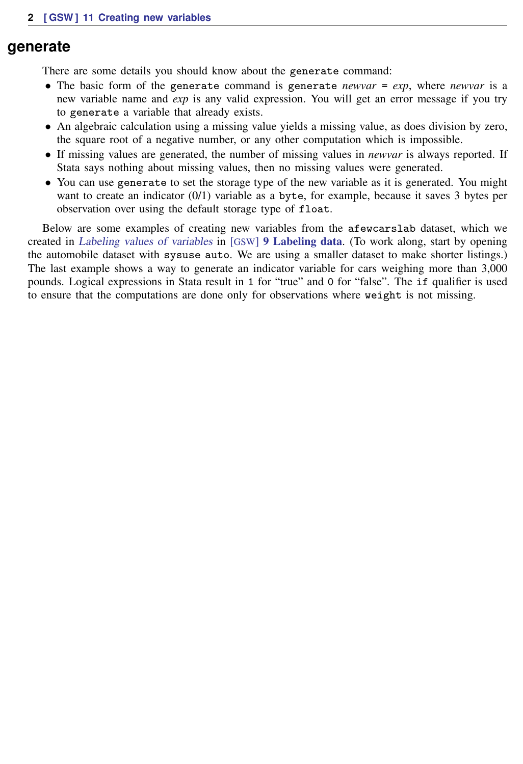#### **generate**

There are some details you should know about the generate command:

- The basic form of the generate command is generate *newvar* =  $exp$ , where *newvar* is a new variable name and *exp* is any valid expression. You will get an error message if you try to generate a variable that already exists.
- An algebraic calculation using a missing value yields a missing value, as does division by zero, the square root of a negative number, or any other computation which is impossible.
- If missing values are generated, the number of missing values in *newvar* is always reported. If Stata says nothing about missing values, then no missing values were generated.
- You can use generate to set the storage type of the new variable as it is generated. You might want to create an indicator (0/1) variable as a byte, for example, because it saves 3 bytes per observation over using the default storage type of float.

Below are some examples of creating new variables from the afewcarslab dataset, which we created in [Labeling values of variables](https://www.stata.com/manuals/gsw9.pdf#gswLabelingvaluesofvariables) in [GSW] [9 Labeling data](https://www.stata.com/manuals/gsw9.pdf#gsw9Labelingdata). (To work along, start by opening the automobile dataset with sysuse auto. We are using a smaller dataset to make shorter listings.) The last example shows a way to generate an indicator variable for cars weighing more than 3,000 pounds. Logical expressions in Stata result in 1 for "true" and 0 for "false". The if qualifier is used to ensure that the computations are done only for observations where weight is not missing.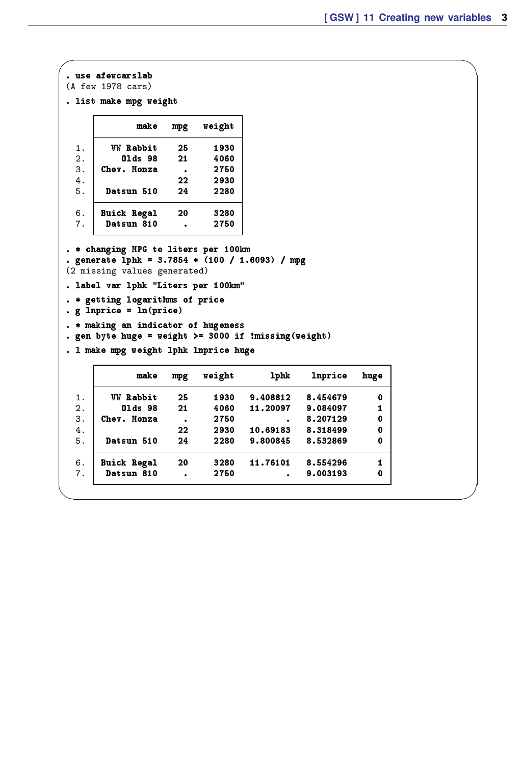```
\sqrt{2\pi\left(\frac{1}{2}\right)^2+\left(\frac{1}{2}\right)^2+\left(\frac{1}{2}\right)^2+\left(\frac{1}{2}\right)^2+\left(\frac{1}{2}\right)^2+\left(\frac{1}{2}\right)^2+\left(\frac{1}{2}\right)^2+\left(\frac{1}{2}\right)^2+\left(\frac{1}{2}\right)^2+\left(\frac{1}{2}\right)^2+\left(\frac{1}{2}\right)^2+\left(\frac{1}{2}\right)^2+\left(\frac{1}{2}\right)^2+\left(\frac{1}{2}\right)^2+\left(\frac{1}{2}\right)^2+\left(\frac{1}{2}\right)^2+\left(\frac{1}{2}\right)^2+\left(\frac{1}{2}\right. use afewcarslab
 (A few 1978 cars)
 . list make mpg weight
                   make mpg weight
    1. W Rabbit 25 1930<br>2. 01ds 98 21 4060
    2. 01ds 98 21 4060<br>3. Chev. Monza . 2750
          3. Chev. Monza . 2750
    4. 22 2930
    5. Datsun 510 24 2280
    6. Buick Regal 20 3280<br>7. Datsun 810 . 2750
           Datsun 810 .
 . * changing MPG to liters per 100km
 . generate lphk = 3.7854 * (100 / 1.6093) / mpg
 (2 missing values generated)
 . label var lphk "Liters per 100km"
 . * getting logarithms of price
 . g lnprice = ln(price)
 . * making an indicator of hugeness
 . gen byte huge = weight >= 3000 if !missing(weight)
 . l make mpg weight lphk lnprice huge
                   make mpg weight lphk lnprice huge
    1. VW Rabbit 25 1930 9.408812 8.454679 0
    2. Olds 98 21 4060 11.20097 9.084097 1
    3. Chev. Monza . 2750 . 8.207129 0<br>4. 22 2930 10.69183 8.318499 0
    4. 22 2930 10.69183 8.318499 0<br>5. Datsun 510 24 2280 9.800845 8.532869 0
           Datsun 510
    6. Buick Regal 20 3280 11.76101 8.554296 1
           Datsun 810 . 2750 .
```
✖ ✕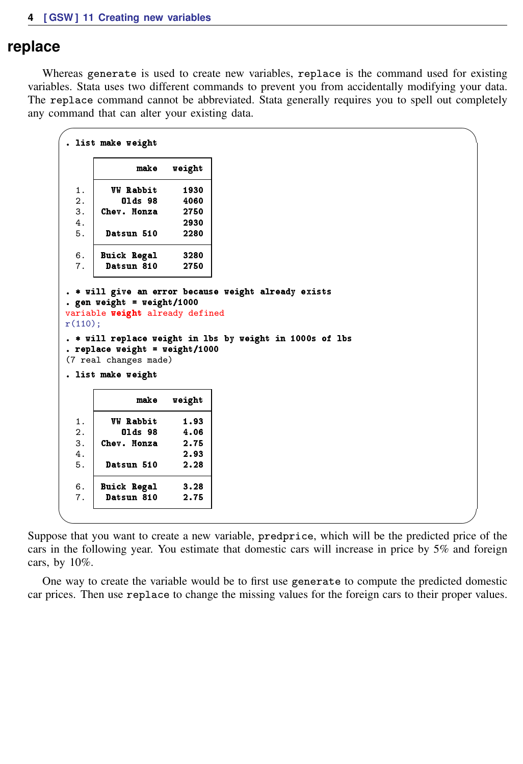### **replace**

Whereas generate is used to create new variables, replace is the command used for existing variables. Stata uses two different commands to prevent you from accidentally modifying your data. The replace command cannot be abbreviated. Stata generally requires you to spell out completely any command that can alter your existing data.

 $\sqrt{2\pi}$ 

```
. list make weight
             make weight
  1. W Rabbit 1930<br>2. 01ds 98 4060
  2. 01ds 98 4060<br>3. Chev. Monza 2750
       Chev. Monza
  4. 2930
  5. Datsun 510 2280
  6. Buick Regal 3280
  7. Datsun 810 2750
 . * will give an error because weight already exists
 . gen weight = weight/1000
variable weight already defined
r(110):
 . * will replace weight in lbs by weight in 1000s of lbs
 . replace weight = weight/1000
 (7 real changes made)
 . list make weight
             make weight
  1. W Rabbit 1.93<br>2. 01ds 98 4.06
  2. 01ds 98 4.06<br>3. Chev. Monza 2.75
  3. Chev. Monza<br>4.
                     4. 2.93
  5. Datsun 510 2.28
  6. Buick Regal 3.28
  7. Datsun 810 2.75
✖ ✕
```
Suppose that you want to create a new variable, predprice, which will be the predicted price of the cars in the following year. You estimate that domestic cars will increase in price by 5% and foreign cars, by 10%.

One way to create the variable would be to first use generate to compute the predicted domestic car prices. Then use replace to change the missing values for the foreign cars to their proper values.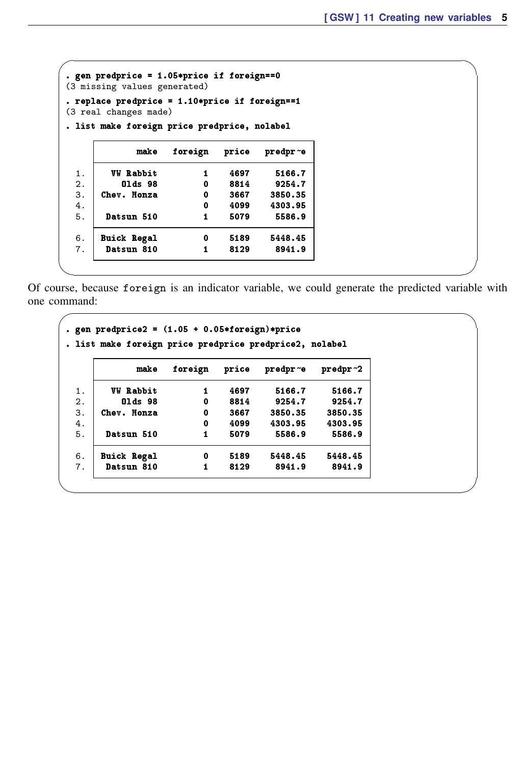| (3 missing values generated)                                               |               |      |          |
|----------------------------------------------------------------------------|---------------|------|----------|
| . replace predprice = $1.10*$ price if foreign==1<br>(3 real changes made) |               |      |          |
| . list make foreign price predprice, nolabel                               |               |      |          |
| make                                                                       | foreign price |      | predpr~e |
| <b>VW Rabbit</b>                                                           | 1             | 4697 | 5166.7   |
| 01ds 98                                                                    | 0             | 8814 | 9254.7   |
| Chev. Monza                                                                | 0             | 3667 | 3850.35  |
|                                                                            | 0             | 4099 | 4303.95  |
| Datsun 510                                                                 | $\mathbf{1}$  | 5079 | 5586.9   |
| <b>Buick Regal</b>                                                         | 0             | 5189 | 5448.45  |
| <b>Datsun 810</b>                                                          | 1             | 8129 | 8941.9   |

Of course, because foreign is an indicator variable, we could generate the predicted variable with one command:

✖ ✕

 $\sqrt{2\pi}$ 

✖ ✕

 $\sqrt{2\pi\left(\frac{1}{2}\right)^2+\left(\frac{1}{2}\right)^2+\left(\frac{1}{2}\right)^2+\left(\frac{1}{2}\right)^2+\left(\frac{1}{2}\right)^2+\left(\frac{1}{2}\right)^2+\left(\frac{1}{2}\right)^2+\left(\frac{1}{2}\right)^2+\left(\frac{1}{2}\right)^2+\left(\frac{1}{2}\right)^2+\left(\frac{1}{2}\right)^2+\left(\frac{1}{2}\right)^2+\left(\frac{1}{2}\right)^2+\left(\frac{1}{2}\right)^2+\left(\frac{1}{2}\right)^2+\left(\frac{1}{2}\right)^2+\left(\frac{1}{2}\right)^2+\left(\frac{1}{2}\right$ 

```
e gen predprice2 = (1.05 + 0.05 * for \text{e}ign)*price
. list make foreign price predprice predprice2, nolabel
                 make foreign price predpr~e predpr~2
  1. WW Rabbit 1 4697 5166.7 5166.7<br>2. Olds 98 0 8814 9254.7 9254.7
  2. | 01ds 98                           8814         9254.7          9254.7
 3. Chev. Monza 0 3667 3850.35 3850.35<br>4. \begin{array}{cccc} 3.67 & 3650.35 & 3850.35 \\ 4.6 & 0 & 4099 & 4303.95 & 4303.95 \end{array}4. 4. 0 4099 4303.95 4303.95<br>5. Datsun 510 1 5079 5586.9 5586.9
         Datsun 510
 6. Buick Regal 0 5189 5448.45 5448.45
         Datsun 810
```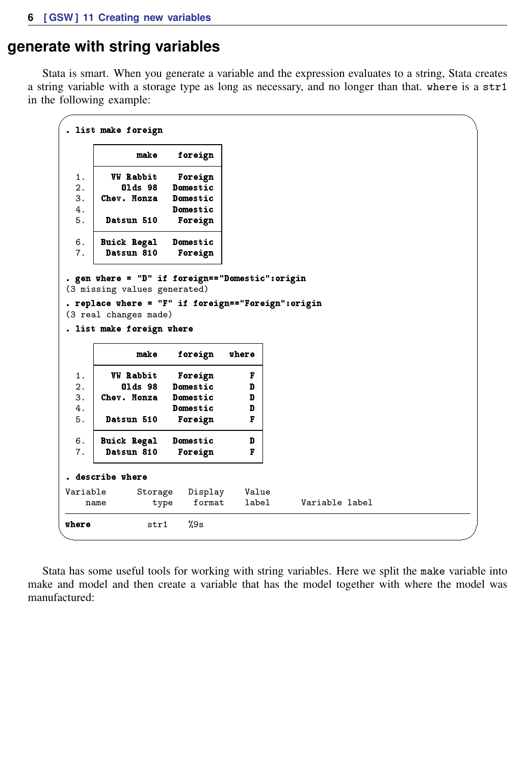## **generate with string variables**

Stata is smart. When you generate a variable and the expression evaluates to a string, Stata creates a string variable with a storage type as long as necessary, and no longer than that. where is a str1 in the following example:

```
\sqrt{2\pi\left(\frac{1}{2}\right)^2+\left(\frac{1}{2}\right)^2+\left(\frac{1}{2}\right)^2+\left(\frac{1}{2}\right)^2+\left(\frac{1}{2}\right)^2+\left(\frac{1}{2}\right)^2+\left(\frac{1}{2}\right)^2+\left(\frac{1}{2}\right)^2+\left(\frac{1}{2}\right)^2+\left(\frac{1}{2}\right)^2+\left(\frac{1}{2}\right)^2+\left(\frac{1}{2}\right)^2+\left(\frac{1}{2}\right)^2+\left(\frac{1}{2}\right)^2+\left(\frac{1}{2}\right)^2+\left(\frac{1}{2}\right)^2+\left(\frac{1}{2}\right)^2+\left(\frac{1}{2}\right. list make foreign
                     make foreign
    1. WW Rabbit Foreign<br>2. Olds 98 Domestic
    2. 01ds 98 Domestic<br>3. Chev. Monza Domestic
    3. Chev. Monza
                               Domestic
    5. Datsun 510 Foreign
    6. Buick Regal Domestic
            Datsun 810 Foreign
 . gen where = "D" if foreign=="Domestic":origin
 (3 missing values generated)
 . replace where = "F" if foreign=="Foreign":origin
 (3 real changes made)
 . list make foreign where
                     make foreign where
    1. VW Rabbit Foreign F
    2. Olds 98 Domestic D<br>3. Chev. Monza Domestic D
    3. Chev. Monza Domestic D<br>4. Domestic D
    4. Domestic D<br>5. Datsun 510 Foreign F
            Datsun 510 Foreign
    6. Buick Regal Domestic D<br>7. Datsun 810 Foreign F
            Datsun 810
 . describe where
 Variable Storage Display Value
                         type format label Variable label
where str1 %9s
```
Stata has some useful tools for working with string variables. Here we split the make variable into make and model and then create a variable that has the model together with where the model was manufactured: